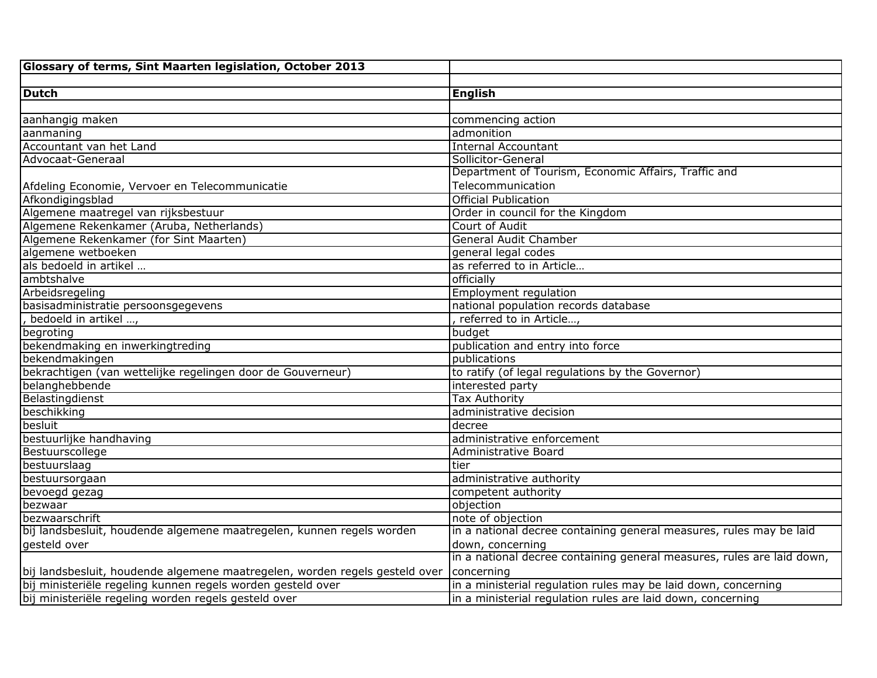| <b>Dutch</b>                                                                | <b>English</b>                                                         |
|-----------------------------------------------------------------------------|------------------------------------------------------------------------|
|                                                                             |                                                                        |
| aanhangig maken                                                             | commencing action                                                      |
| aanmaning                                                                   | admonition                                                             |
| Accountant van het Land                                                     | <b>Internal Accountant</b>                                             |
| Advocaat-Generaal                                                           | Sollicitor-General                                                     |
|                                                                             | Department of Tourism, Economic Affairs, Traffic and                   |
| Afdeling Economie, Vervoer en Telecommunicatie                              | Telecommunication                                                      |
| Afkondigingsblad                                                            | <b>Official Publication</b>                                            |
| Algemene maatregel van rijksbestuur                                         | Order in council for the Kingdom                                       |
| Algemene Rekenkamer (Aruba, Netherlands)                                    | Court of Audit                                                         |
| Algemene Rekenkamer (for Sint Maarten)                                      | <b>General Audit Chamber</b>                                           |
| algemene wetboeken                                                          | general legal codes                                                    |
| als bedoeld in artikel                                                      | as referred to in Article                                              |
| ambtshalve                                                                  | officially                                                             |
| Arbeidsregeling                                                             | <b>Employment regulation</b>                                           |
| basisadministratie persoonsgegevens                                         | national population records database                                   |
| bedoeld in artikel ,                                                        | referred to in Article,                                                |
| begroting                                                                   | budget                                                                 |
| bekendmaking en inwerkingtreding                                            | publication and entry into force                                       |
| bekendmakingen                                                              | publications                                                           |
| bekrachtigen (van wettelijke regelingen door de Gouverneur)                 | to ratify (of legal regulations by the Governor)                       |
| belanghebbende                                                              | interested party                                                       |
| Belastingdienst                                                             | <b>Tax Authority</b>                                                   |
| beschikking                                                                 | administrative decision                                                |
| besluit                                                                     | decree                                                                 |
| bestuurlijke handhaving                                                     | administrative enforcement                                             |
| Bestuurscollege                                                             | Administrative Board                                                   |
| bestuurslaag                                                                | tier                                                                   |
| bestuursorgaan                                                              | administrative authority                                               |
| bevoegd gezag                                                               | competent authority                                                    |
| bezwaar                                                                     | objection                                                              |
| bezwaarschrift                                                              | note of objection                                                      |
| bij landsbesluit, houdende algemene maatregelen, kunnen regels worden       | in a national decree containing general measures, rules may be laid    |
| qesteld over                                                                | down, concerning                                                       |
|                                                                             | in a national decree containing general measures, rules are laid down, |
| bij landsbesluit, houdende algemene maatregelen, worden regels gesteld over | concerning                                                             |
| bij ministeriële regeling kunnen regels worden gesteld over                 | in a ministerial regulation rules may be laid down, concerning         |
| bij ministeriële regeling worden regels gesteld over                        | in a ministerial regulation rules are laid down, concerning            |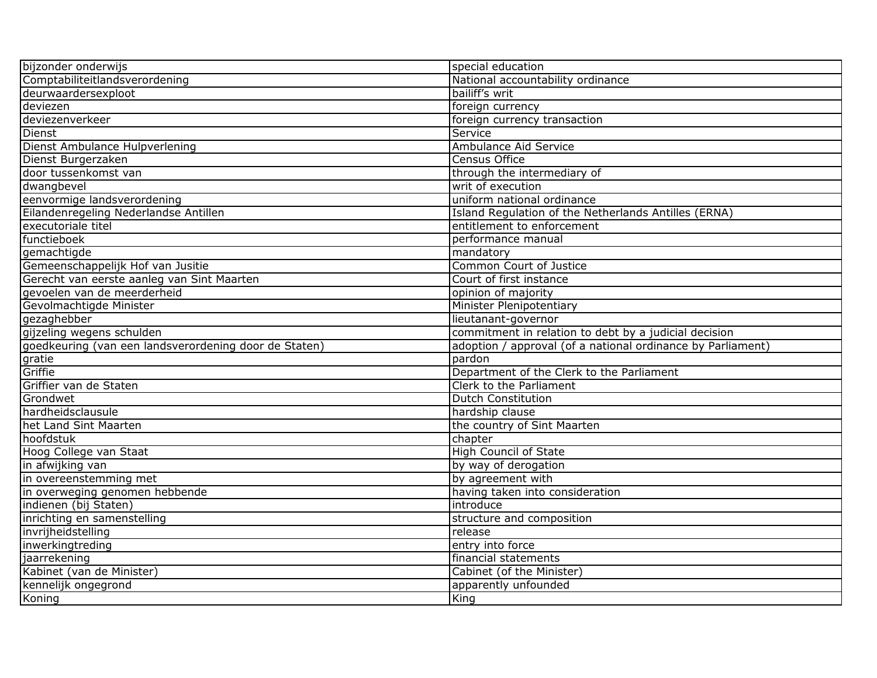| bijzonder onderwijs                                   | special education                                           |
|-------------------------------------------------------|-------------------------------------------------------------|
| Comptabiliteitlandsverordening                        | National accountability ordinance                           |
| deurwaardersexploot                                   | bailiff's writ                                              |
| deviezen                                              | foreign currency                                            |
| deviezenverkeer                                       | foreign currency transaction                                |
| Dienst                                                | Service                                                     |
| Dienst Ambulance Hulpverlening                        | Ambulance Aid Service                                       |
| Dienst Burgerzaken                                    | <b>Census Office</b>                                        |
| door tussenkomst van                                  | through the intermediary of                                 |
| dwangbevel                                            | writ of execution                                           |
| eenvormige landsverordening                           | uniform national ordinance                                  |
| Eilandenregeling Nederlandse Antillen                 | Island Regulation of the Netherlands Antilles (ERNA)        |
| executoriale titel                                    | entitlement to enforcement                                  |
| functieboek                                           | performance manual                                          |
| gemachtigde                                           | mandatory                                                   |
| Gemeenschappelijk Hof van Jusitie                     | Common Court of Justice                                     |
| Gerecht van eerste aanleg van Sint Maarten            | Court of first instance                                     |
| gevoelen van de meerderheid                           | opinion of majority                                         |
| Gevolmachtigde Minister                               | <b>Minister Plenipotentiary</b>                             |
| gezaghebber                                           | lieutanant-governor                                         |
| gijzeling wegens schulden                             | commitment in relation to debt by a judicial decision       |
| goedkeuring (van een landsverordening door de Staten) | adoption / approval (of a national ordinance by Parliament) |
| gratie                                                | pardon                                                      |
| Griffie                                               | Department of the Clerk to the Parliament                   |
| Griffier van de Staten                                | Clerk to the Parliament                                     |
| Grondwet                                              | <b>Dutch Constitution</b>                                   |
| hardheidsclausule                                     | hardship clause                                             |
| het Land Sint Maarten                                 | the country of Sint Maarten                                 |
| hoofdstuk                                             | chapter                                                     |
| Hoog College van Staat                                | <b>High Council of State</b>                                |
| in afwijking van                                      | by way of derogation                                        |
| in overeenstemming met                                | by agreement with                                           |
| in overweging genomen hebbende                        | having taken into consideration                             |
| indienen (bij Staten)                                 | introduce                                                   |
| inrichting en samenstelling                           | structure and composition                                   |
| invrijheidstelling                                    | release                                                     |
| inwerkingtreding                                      | entry into force                                            |
| jaarrekening                                          | financial statements                                        |
| Kabinet (van de Minister)                             | Cabinet (of the Minister)                                   |
| kennelijk ongegrond                                   | apparently unfounded                                        |
| Koning                                                | King                                                        |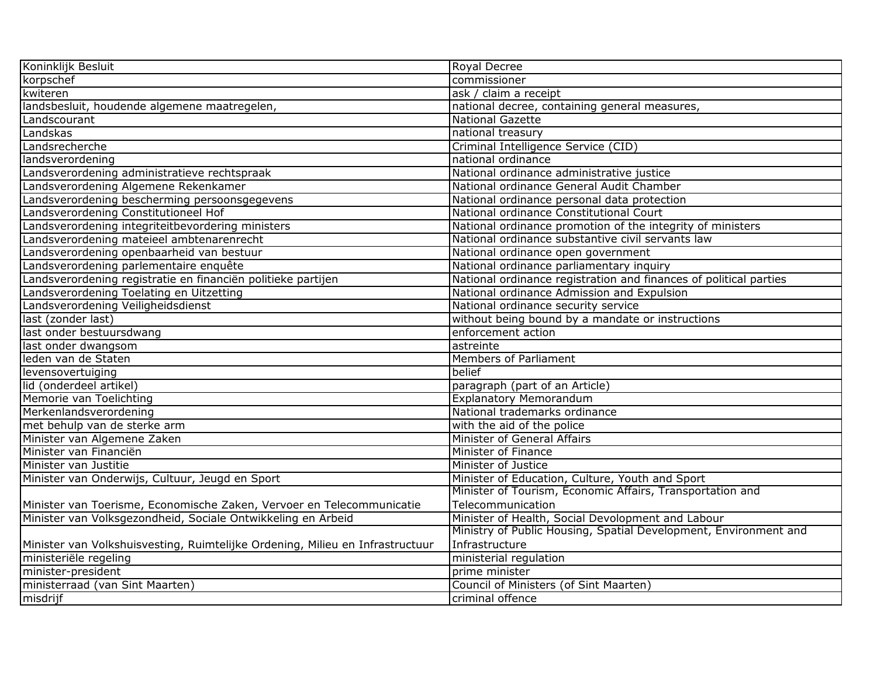| Koninklijk Besluit                                                            | <b>Royal Decree</b>                                               |
|-------------------------------------------------------------------------------|-------------------------------------------------------------------|
| korpschef                                                                     | commissioner                                                      |
| kwiteren                                                                      | ask / claim a receipt                                             |
| landsbesluit, houdende algemene maatregelen,                                  | national decree, containing general measures,                     |
| Landscourant                                                                  | <b>National Gazette</b>                                           |
| Landskas                                                                      | national treasury                                                 |
| Landsrecherche                                                                | Criminal Intelligence Service (CID)                               |
| landsverordening                                                              | national ordinance                                                |
| Landsverordening administratieve rechtspraak                                  | National ordinance administrative justice                         |
| Landsverordening Algemene Rekenkamer                                          | National ordinance General Audit Chamber                          |
| Landsverordening bescherming persoonsgegevens                                 | National ordinance personal data protection                       |
| Landsverordening Constitutioneel Hof                                          | National ordinance Constitutional Court                           |
| Landsverordening integriteitbevordering ministers                             | National ordinance promotion of the integrity of ministers        |
| Landsverordening mateieel ambtenarenrecht                                     | National ordinance substantive civil servants law                 |
| Landsverordening openbaarheid van bestuur                                     | National ordinance open government                                |
| Landsverordening parlementaire enquête                                        | National ordinance parliamentary inquiry                          |
| Landsverordening registratie en financiën politieke partijen                  | National ordinance registration and finances of political parties |
| Landsverordening Toelating en Uitzetting                                      | National ordinance Admission and Expulsion                        |
| Landsverordening Veiligheidsdienst                                            | National ordinance security service                               |
| last (zonder last)                                                            | without being bound by a mandate or instructions                  |
| last onder bestuursdwang                                                      | enforcement action                                                |
| last onder dwangsom                                                           | astreinte                                                         |
| leden van de Staten                                                           | Members of Parliament                                             |
| levensovertuiging                                                             | belief                                                            |
| lid (onderdeel artikel)                                                       | paragraph (part of an Article)                                    |
| Memorie van Toelichting                                                       | <b>Explanatory Memorandum</b>                                     |
| Merkenlandsverordening                                                        | National trademarks ordinance                                     |
| met behulp van de sterke arm                                                  | with the aid of the police                                        |
| Minister van Algemene Zaken                                                   | Minister of General Affairs                                       |
| Minister van Financiën                                                        | Minister of Finance                                               |
| Minister van Justitie                                                         | Minister of Justice                                               |
| Minister van Onderwijs, Cultuur, Jeugd en Sport                               | Minister of Education, Culture, Youth and Sport                   |
|                                                                               | Minister of Tourism, Economic Affairs, Transportation and         |
| Minister van Toerisme, Economische Zaken, Vervoer en Telecommunicatie         | Telecommunication                                                 |
| Minister van Volksgezondheid, Sociale Ontwikkeling en Arbeid                  | Minister of Health, Social Devolopment and Labour                 |
|                                                                               | Ministry of Public Housing, Spatial Development, Environment and  |
| Minister van Volkshuisvesting, Ruimtelijke Ordening, Milieu en Infrastructuur | Infrastructure                                                    |
| ministeriële regeling                                                         | ministerial regulation                                            |
| minister-president                                                            | prime minister                                                    |
| ministerraad (van Sint Maarten)                                               | Council of Ministers (of Sint Maarten)                            |
| misdrijf                                                                      | criminal offence                                                  |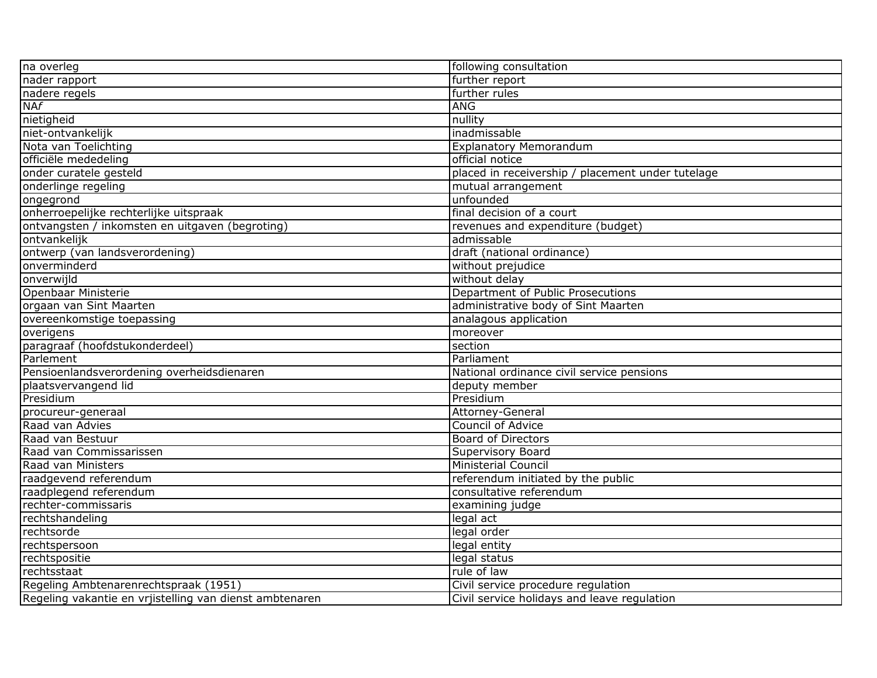| na overleg                                              | following consultation                            |
|---------------------------------------------------------|---------------------------------------------------|
| nader rapport                                           | further report                                    |
| nadere regels                                           | further rules                                     |
| NAf                                                     | <b>ANG</b>                                        |
| nietigheid                                              | nullity                                           |
| niet-ontvankelijk                                       | inadmissable                                      |
| Nota van Toelichting                                    | <b>Explanatory Memorandum</b>                     |
| officiële mededeling                                    | official notice                                   |
| onder curatele gesteld                                  | placed in receivership / placement under tutelage |
| onderlinge regeling                                     | mutual arrangement                                |
| ongegrond                                               | unfounded                                         |
| onherroepelijke rechterlijke uitspraak                  | final decision of a court                         |
| ontvangsten / inkomsten en uitgaven (begroting)         | revenues and expenditure (budget)                 |
| ontvankelijk                                            | admissable                                        |
| ontwerp (van landsverordening)                          | draft (national ordinance)                        |
| onverminderd                                            | without prejudice                                 |
| onverwijld                                              | without delay                                     |
| Openbaar Ministerie                                     | Department of Public Prosecutions                 |
| orgaan van Sint Maarten                                 | administrative body of Sint Maarten               |
| overeenkomstige toepassing                              | analagous application                             |
| overigens                                               | moreover                                          |
| paragraaf (hoofdstukonderdeel)                          | section                                           |
| Parlement                                               | Parliament                                        |
| Pensioenlandsverordening overheidsdienaren              | National ordinance civil service pensions         |
| plaatsvervangend lid                                    | deputy member                                     |
| Presidium                                               | Presidium                                         |
| procureur-generaal                                      | Attorney-General                                  |
| Raad van Advies                                         | <b>Council of Advice</b>                          |
| Raad van Bestuur                                        | <b>Board of Directors</b>                         |
| Raad van Commissarissen                                 | Supervisory Board                                 |
| Raad van Ministers                                      | <b>Ministerial Council</b>                        |
| raadgevend referendum                                   | referendum initiated by the public                |
| raadplegend referendum                                  | consultative referendum                           |
| rechter-commissaris                                     | examining judge                                   |
| rechtshandeling                                         | legal act                                         |
| rechtsorde                                              | legal order                                       |
| rechtspersoon                                           | legal entity                                      |
| rechtspositie                                           | legal status                                      |
| rechtsstaat                                             | rule of law                                       |
| Regeling Ambtenarenrechtspraak (1951)                   | Civil service procedure regulation                |
| Regeling vakantie en vrjistelling van dienst ambtenaren | Civil service holidays and leave regulation       |